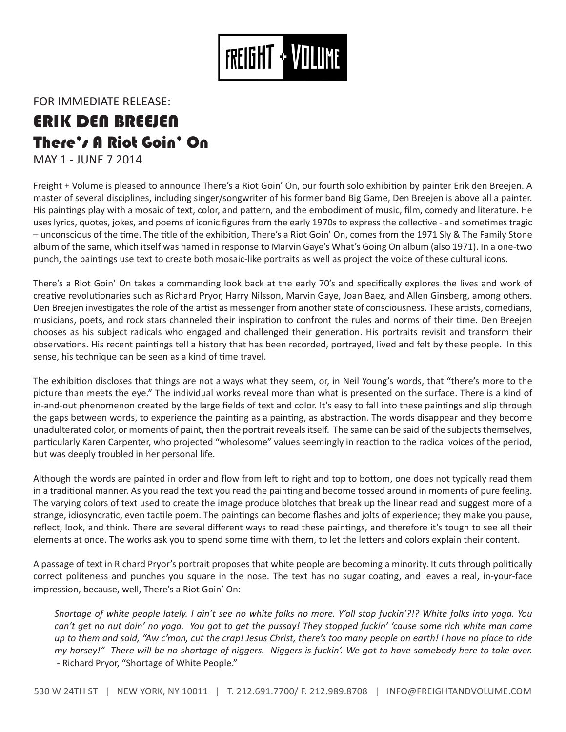

FOR IMMEDIATE RELEASE:

## ERIK DEN BREEJEN There's A Riot Goin' On

MAY 1 - JUNE 7 2014

Freight + Volume is pleased to announce There's a Riot Goin' On, our fourth solo exhibition by painter Erik den Breejen. A master of several disciplines, including singer/songwriter of his former band Big Game, Den Breejen is above all a painter. His paintings play with a mosaic of text, color, and pattern, and the embodiment of music, film, comedy and literature. He uses lyrics, quotes, jokes, and poems of iconic figures from the early 1970s to express the collective - and sometimes tragic – unconscious of the time. The title of the exhibition, There's a Riot Goin' On, comes from the 1971 Sly & The Family Stone album of the same, which itself was named in response to Marvin Gaye's What's Going On album (also 1971). In a one-two punch, the paintings use text to create both mosaic-like portraits as well as project the voice of these cultural icons.

There's a Riot Goin' On takes a commanding look back at the early 70's and specifically explores the lives and work of creative revolutionaries such as Richard Pryor, Harry Nilsson, Marvin Gaye, Joan Baez, and Allen Ginsberg, among others. Den Breejen investigates the role of the artist as messenger from another state of consciousness. These artists, comedians, musicians, poets, and rock stars channeled their inspiration to confront the rules and norms of their time. Den Breejen chooses as his subject radicals who engaged and challenged their generation. His portraits revisit and transform their observations. His recent paintings tell a history that has been recorded, portrayed, lived and felt by these people. In this sense, his technique can be seen as a kind of time travel.

The exhibition discloses that things are not always what they seem, or, in Neil Young's words, that "there's more to the picture than meets the eye." The individual works reveal more than what is presented on the surface. There is a kind of in-and-out phenomenon created by the large fields of text and color. It's easy to fall into these paintings and slip through the gaps between words, to experience the painting as a painting, as abstraction. The words disappear and they become unadulterated color, or moments of paint, then the portrait reveals itself. The same can be said of the subjects themselves, particularly Karen Carpenter, who projected "wholesome" values seemingly in reaction to the radical voices of the period, but was deeply troubled in her personal life.

Although the words are painted in order and flow from left to right and top to bottom, one does not typically read them in a traditional manner. As you read the text you read the painting and become tossed around in moments of pure feeling. The varying colors of text used to create the image produce blotches that break up the linear read and suggest more of a strange, idiosyncratic, even tactile poem. The paintings can become flashes and jolts of experience; they make you pause, reflect, look, and think. There are several different ways to read these paintings, and therefore it's tough to see all their elements at once. The works ask you to spend some time with them, to let the letters and colors explain their content.

A passage of text in Richard Pryor's portrait proposes that white people are becoming a minority. It cuts through politically correct politeness and punches you square in the nose. The text has no sugar coating, and leaves a real, in-your-face impression, because, well, There's a Riot Goin' On:

*Shortage of white people lately. I ain't see no white folks no more. Y'all stop fuckin'?!? White folks into yoga. You*  can't get no nut doin' no yoga. You got to get the pussay! They stopped fuckin' 'cause some rich white man came *up to them and said, "Aw c'mon, cut the crap! Jesus Christ, there's too many people on earth! I have no place to ride my horsey!" There will be no shortage of niggers. Niggers is fuckin'. We got to have somebody here to take over. -* Richard Pryor, "Shortage of White People."